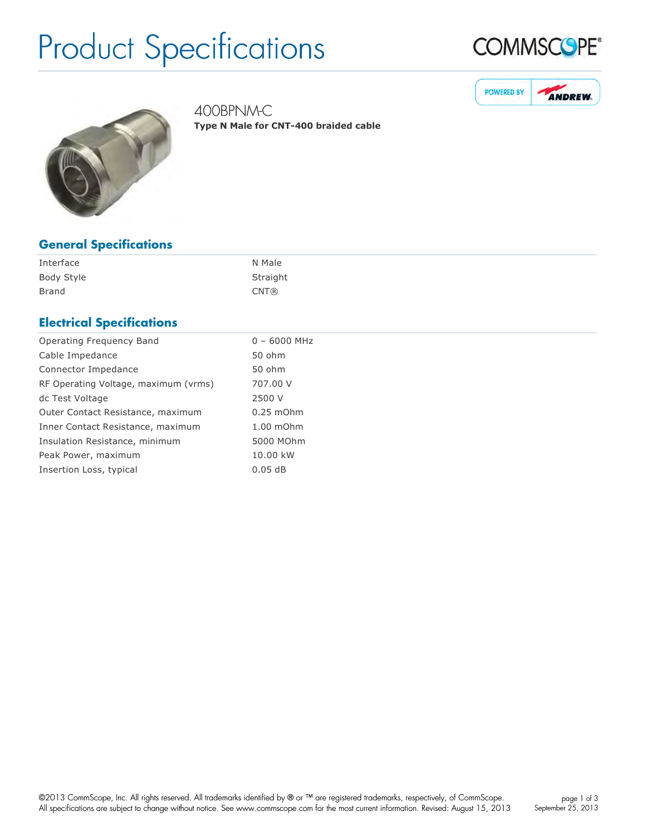# Product Specifications







400BPNM-C **Type N Male for CNT-400 braided cable** 

| <b>General Specifications</b> |
|-------------------------------|
|-------------------------------|

| Interface  | N Male   |
|------------|----------|
| Body Style | Straight |
| Brand      | CNT@     |

## **Electrical Specifications**

| Operating Frequency Band             | $0 - 6000$ MHz |
|--------------------------------------|----------------|
| Cable Impedance                      | 50 ohm         |
| Connector Impedance                  | 50 ohm         |
| RF Operating Voltage, maximum (vrms) | 707.00 V       |
| dc Test Voltage                      | 2500 V         |
| Outer Contact Resistance, maximum    | $0.25$ mOhm    |
| Inner Contact Resistance, maximum    | 1.00 mOhm      |
| Insulation Resistance, minimum       | 5000 MOhm      |
| Peak Power, maximum                  | 10.00 kW       |
| Insertion Loss, typical              | 0.05dB         |
|                                      |                |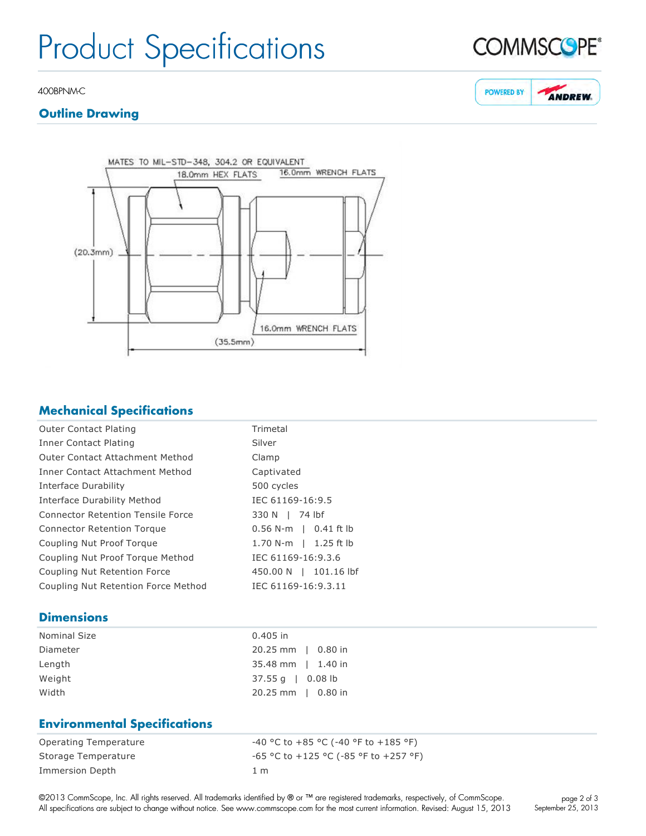## Product Specifications

#### 400BPNM-C

## **Outline Drawing**



## **Mechanical Specifications**

| Trimetal                |
|-------------------------|
| Silver                  |
| Clamp                   |
| Captivated              |
| 500 cycles              |
| IEC 61169-16:9.5        |
| 330 N   74 lbf          |
| $0.56$ N-m   0.41 ft lb |
| 1.70 N-m   1.25 ft lb   |
| IEC 61169-16:9.3.6      |
| 450.00 N   101.16 lbf   |
| IEC 61169-16:9.3.11     |
|                         |

## **Dimensions**

| $0.405$ in                  |
|-----------------------------|
| 20.25 mm   0.80 in          |
| 35.48 mm   1.40 in          |
| $37.55 \text{ q}$   0.08 lb |
| 20.25 mm   0.80 in          |
|                             |

## **Environmental Specifications**

| Operating Temperature | -40 °C to +85 °C (-40 °F to +185 °F)    |
|-----------------------|-----------------------------------------|
| Storage Temperature   | $-65$ °C to +125 °C (-85 °F to +257 °F) |
| Immersion Depth       | 1 m                                     |



#### **POWERED BY ANDREW.**